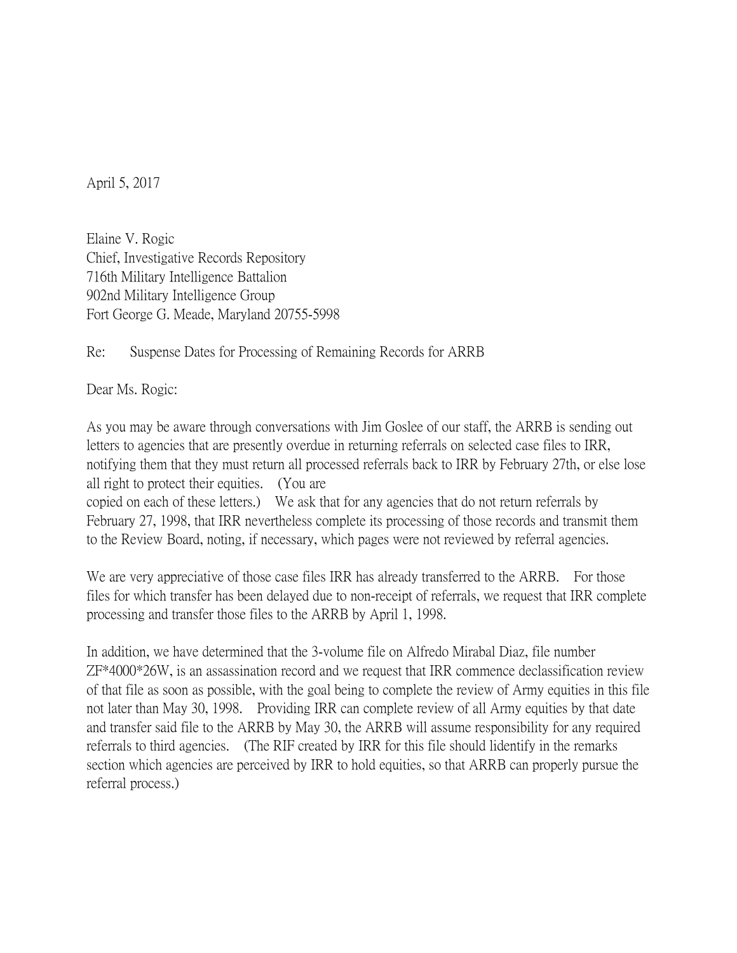April 5, 2017

Elaine V. Rogic Chief, Investigative Records Repository 716th Military Intelligence Battalion 902nd Military Intelligence Group Fort George G. Meade, Maryland 20755-5998

Re: Suspense Dates for Processing of Remaining Records for ARRB

Dear Ms. Rogic:

As you may be aware through conversations with Jim Goslee of our staff, the ARRB is sending out letters to agencies that are presently overdue in returning referrals on selected case files to IRR, notifying them that they must return all processed referrals back to IRR by February 27th, or else lose all right to protect their equities. (You are copied on each of these letters.) We ask that for any agencies that do not return referrals by February 27, 1998, that IRR nevertheless complete its processing of those records and transmit them to the Review Board, noting, if necessary, which pages were not reviewed by referral agencies.

We are very appreciative of those case files IRR has already transferred to the ARRB. For those files for which transfer has been delayed due to non-receipt of referrals, we request that IRR complete processing and transfer those files to the ARRB by April 1, 1998.

In addition, we have determined that the 3-volume file on Alfredo Mirabal Diaz, file number ZF\*4000\*26W, is an assassination record and we request that IRR commence declassification review of that file as soon as possible, with the goal being to complete the review of Army equities in this file not later than May 30, 1998. Providing IRR can complete review of all Army equities by that date and transfer said file to the ARRB by May 30, the ARRB will assume responsibility for any required referrals to third agencies. (The RIF created by IRR for this file should lidentify in the remarks section which agencies are perceived by IRR to hold equities, so that ARRB can properly pursue the referral process.)